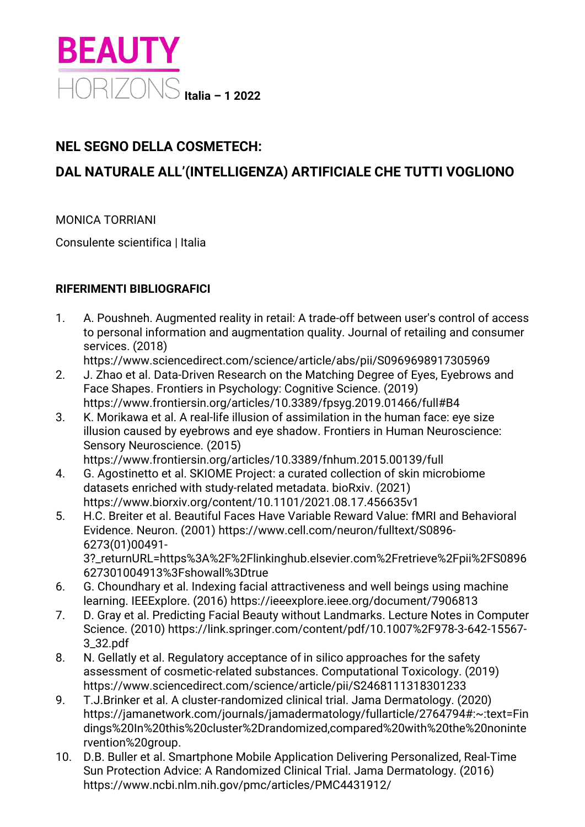

## **NEL SEGNO DELLA COSMETECH:**

## **DAL NATURALE ALL'(INTELLIGENZA) ARTIFICIALE CHE TUTTI VOGLIONO**

MONICA TORRIANI

Consulente scientifica | Italia

## **RIFERIMENTI BIBLIOGRAFICI**

- 1. A. Poushneh. Augmented reality in retail: A trade-off between user's control of access to personal information and augmentation quality. Journal of retailing and consumer services. (2018)
	- https://www.sciencedirect.com/science/article/abs/pii/S0969698917305969
- 2. J. Zhao et al. Data-Driven Research on the Matching Degree of Eyes, Eyebrows and Face Shapes. Frontiers in Psychology: Cognitive Science. (2019) https://www.frontiersin.org/articles/10.3389/fpsyg.2019.01466/full#B4
- 3. K. Morikawa et al. A real-life illusion of assimilation in the human face: eye size illusion caused by eyebrows and eye shadow. Frontiers in Human Neuroscience: Sensory Neuroscience. (2015)

https://www.frontiersin.org/articles/10.3389/fnhum.2015.00139/full

- 4. G. Agostinetto et al. SKIOME Project: a curated collection of skin microbiome datasets enriched with study-related metadata. bioRxiv. (2021) https://www.biorxiv.org/content/10.1101/2021.08.17.456635v1
- 5. H.C. Breiter et al. Beautiful Faces Have Variable Reward Value: fMRI and Behavioral Evidence. Neuron. (2001) https://www.cell.com/neuron/fulltext/S0896- 6273(01)00491- 3?\_returnURL=https%3A%2F%2Flinkinghub.elsevier.com%2Fretrieve%2Fpii%2FS0896

627301004913%3Fshowall%3Dtrue

- 6. G. Choundhary et al. Indexing facial attractiveness and well beings using machine learning. IEEExplore. (2016) https://ieeexplore.ieee.org/document/7906813
- 7. D. Gray et al. Predicting Facial Beauty without Landmarks. Lecture Notes in Computer Science. (2010) https://link.springer.com/content/pdf/10.1007%2F978-3-642-15567- 3\_32.pdf
- 8. N. Gellatly et al. Regulatory acceptance of in silico approaches for the safety assessment of cosmetic-related substances. Computational Toxicology. (2019) https://www.sciencedirect.com/science/article/pii/S2468111318301233
- 9. T.J.Brinker et al. A cluster-randomized clinical trial. Jama Dermatology. (2020) https://jamanetwork.com/journals/jamadermatology/fullarticle/2764794#:~:text=Fin dings%20In%20this%20cluster%2Drandomized,compared%20with%20the%20noninte rvention%20group.
- 10. D.B. Buller et al. Smartphone Mobile Application Delivering Personalized, Real-Time Sun Protection Advice: A Randomized Clinical Trial. Jama Dermatology. (2016) https://www.ncbi.nlm.nih.gov/pmc/articles/PMC4431912/